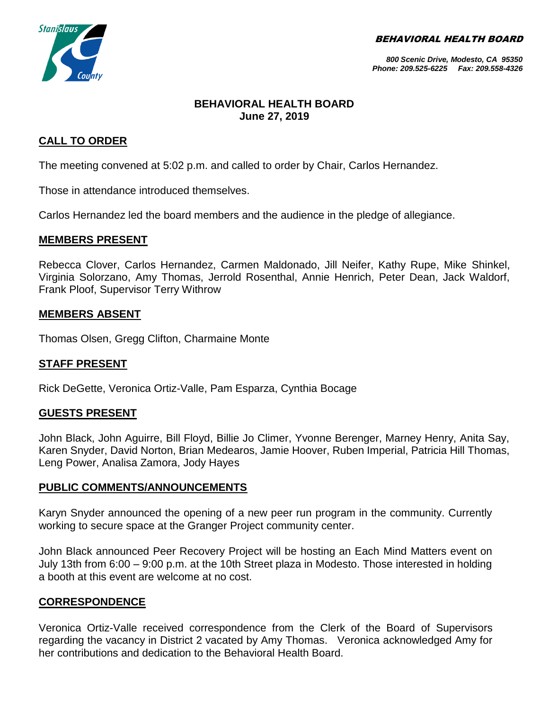BEHAVIORAL HEALTH BOARD



#### *800 Scenic Drive, Modesto, CA 95350 Phone: 209.525-6225 Fax: 209.558-4326*

# **BEHAVIORAL HEALTH BOARD June 27, 2019**

# **CALL TO ORDER**

The meeting convened at 5:02 p.m. and called to order by Chair, Carlos Hernandez.

Those in attendance introduced themselves.

Carlos Hernandez led the board members and the audience in the pledge of allegiance.

## **MEMBERS PRESENT**

Rebecca Clover, Carlos Hernandez, Carmen Maldonado, Jill Neifer, Kathy Rupe, Mike Shinkel, Virginia Solorzano, Amy Thomas, Jerrold Rosenthal, Annie Henrich, Peter Dean, Jack Waldorf, Frank Ploof, Supervisor Terry Withrow

## **MEMBERS ABSENT**

Thomas Olsen, Gregg Clifton, Charmaine Monte

#### **STAFF PRESENT**

Rick DeGette, Veronica Ortiz-Valle, Pam Esparza, Cynthia Bocage

#### **GUESTS PRESENT**

John Black, John Aguirre, Bill Floyd, Billie Jo Climer, Yvonne Berenger, Marney Henry, Anita Say, Karen Snyder, David Norton, Brian Medearos, Jamie Hoover, Ruben Imperial, Patricia Hill Thomas, Leng Power, Analisa Zamora, Jody Hayes

#### **PUBLIC COMMENTS/ANNOUNCEMENTS**

Karyn Snyder announced the opening of a new peer run program in the community. Currently working to secure space at the Granger Project community center.

John Black announced Peer Recovery Project will be hosting an Each Mind Matters event on July 13th from 6:00 – 9:00 p.m. at the 10th Street plaza in Modesto. Those interested in holding a booth at this event are welcome at no cost.

## **CORRESPONDENCE**

Veronica Ortiz-Valle received correspondence from the Clerk of the Board of Supervisors regarding the vacancy in District 2 vacated by Amy Thomas. Veronica acknowledged Amy for her contributions and dedication to the Behavioral Health Board.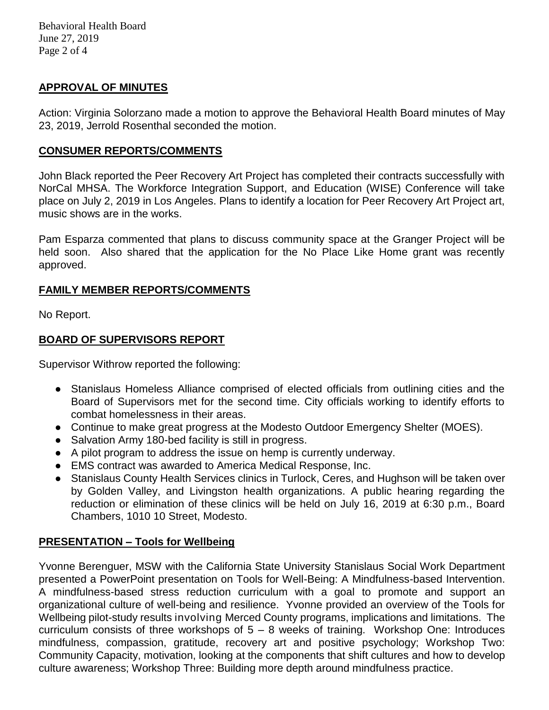## **APPROVAL OF MINUTES**

Action: Virginia Solorzano made a motion to approve the Behavioral Health Board minutes of May 23, 2019, Jerrold Rosenthal seconded the motion.

## **CONSUMER REPORTS/COMMENTS**

John Black reported the Peer Recovery Art Project has completed their contracts successfully with NorCal MHSA. The Workforce Integration Support, and Education (WISE) Conference will take place on July 2, 2019 in Los Angeles. Plans to identify a location for Peer Recovery Art Project art, music shows are in the works.

Pam Esparza commented that plans to discuss community space at the Granger Project will be held soon. Also shared that the application for the No Place Like Home grant was recently approved.

# **FAMILY MEMBER REPORTS/COMMENTS**

No Report.

# **BOARD OF SUPERVISORS REPORT**

Supervisor Withrow reported the following:

- Stanislaus Homeless Alliance comprised of elected officials from outlining cities and the Board of Supervisors met for the second time. City officials working to identify efforts to combat homelessness in their areas.
- Continue to make great progress at the Modesto Outdoor Emergency Shelter (MOES).
- Salvation Army 180-bed facility is still in progress.
- A pilot program to address the issue on hemp is currently underway.
- EMS contract was awarded to America Medical Response, Inc.
- Stanislaus County Health Services clinics in Turlock, Ceres, and Hughson will be taken over by Golden Valley, and Livingston health organizations. A public hearing regarding the reduction or elimination of these clinics will be held on July 16, 2019 at 6:30 p.m., Board Chambers, 1010 10 Street, Modesto.

# **PRESENTATION – Tools for Wellbeing**

Yvonne Berenguer, MSW with the California State University Stanislaus Social Work Department presented a PowerPoint presentation on Tools for Well-Being: A Mindfulness-based Intervention. A mindfulness-based stress reduction curriculum with a goal to promote and support an organizational culture of well-being and resilience. Yvonne provided an overview of the Tools for Wellbeing pilot-study results involving Merced County programs, implications and limitations. The curriculum consists of three workshops of 5 – 8 weeks of training. Workshop One: Introduces mindfulness, compassion, gratitude, recovery art and positive psychology; Workshop Two: Community Capacity, motivation, looking at the components that shift cultures and how to develop culture awareness; Workshop Three: Building more depth around mindfulness practice.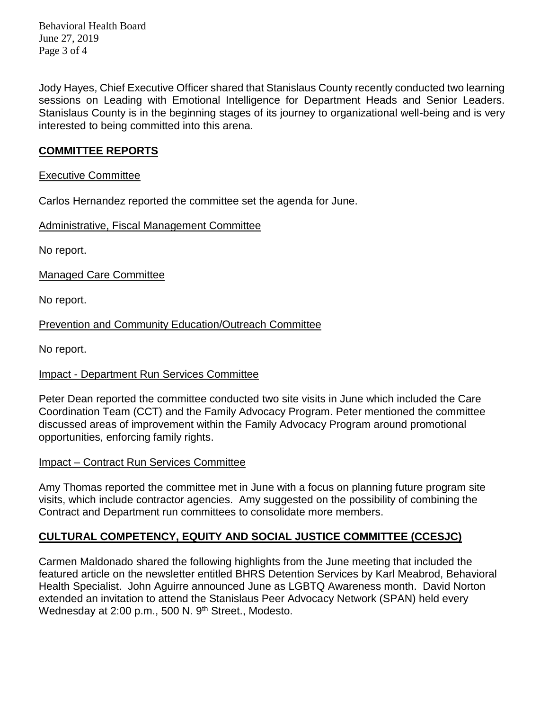Behavioral Health Board June 27, 2019 Page 3 of 4

Jody Hayes, Chief Executive Officer shared that Stanislaus County recently conducted two learning sessions on Leading with Emotional Intelligence for Department Heads and Senior Leaders. Stanislaus County is in the beginning stages of its journey to organizational well-being and is very interested to being committed into this arena.

## **COMMITTEE REPORTS**

#### Executive Committee

Carlos Hernandez reported the committee set the agenda for June.

Administrative, Fiscal Management Committee

No report.

Managed Care Committee

No report.

Prevention and Community Education/Outreach Committee

No report.

## Impact - Department Run Services Committee

Peter Dean reported the committee conducted two site visits in June which included the Care Coordination Team (CCT) and the Family Advocacy Program. Peter mentioned the committee discussed areas of improvement within the Family Advocacy Program around promotional opportunities, enforcing family rights.

## Impact – Contract Run Services Committee

Amy Thomas reported the committee met in June with a focus on planning future program site visits, which include contractor agencies. Amy suggested on the possibility of combining the Contract and Department run committees to consolidate more members.

# **CULTURAL COMPETENCY, EQUITY AND SOCIAL JUSTICE COMMITTEE (CCESJC)**

Carmen Maldonado shared the following highlights from the June meeting that included the featured article on the newsletter entitled BHRS Detention Services by Karl Meabrod, Behavioral Health Specialist. John Aguirre announced June as LGBTQ Awareness month. David Norton extended an invitation to attend the Stanislaus Peer Advocacy Network (SPAN) held every Wednesday at 2:00 p.m., 500 N. 9<sup>th</sup> Street., Modesto.